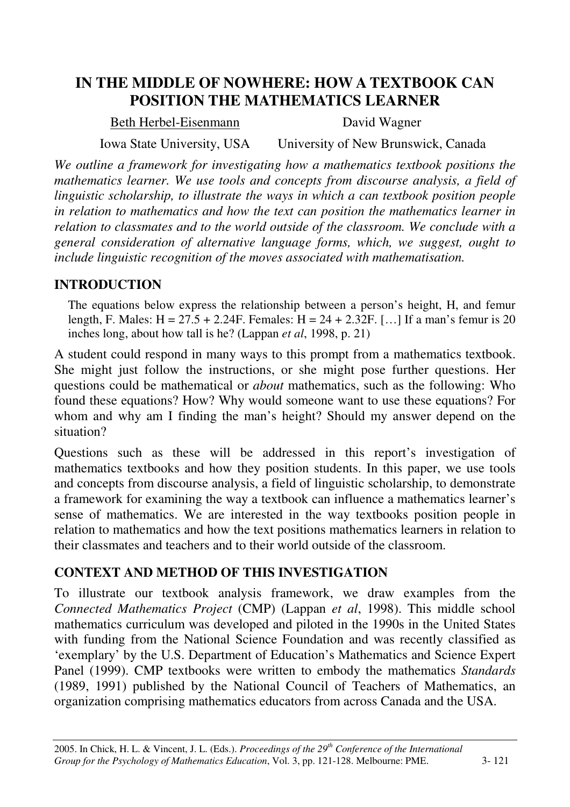# **IN THE MIDDLE OF NOWHERE: HOW A TEXTBOOK CAN POSITION THE MATHEMATICS LEARNER**

Beth Herbel-Eisenmann David Wagner

Iowa State University, USA University of New Brunswick, Canada

*We outline a framework for investigating how a mathematics textbook positions the mathematics learner. We use tools and concepts from discourse analysis, a field of linguistic scholarship, to illustrate the ways in which a can textbook position people in relation to mathematics and how the text can position the mathematics learner in relation to classmates and to the world outside of the classroom. We conclude with a general consideration of alternative language forms, which, we suggest, ought to include linguistic recognition of the moves associated with mathematisation.*

## **INTRODUCTION**

The equations below express the relationship between a person's height, H, and femur length, F. Males:  $H = 27.5 + 2.24F$ . Females:  $H = 24 + 2.32F$ . [...] If a man's femur is 20 inches long, about how tall is he? (Lappan *et al*, 1998, p. 21)

A student could respond in many ways to this prompt from a mathematics textbook. She might just follow the instructions, or she might pose further questions. Her questions could be mathematical or *about* mathematics, such as the following: Who found these equations? How? Why would someone want to use these equations? For whom and why am I finding the man's height? Should my answer depend on the situation?

Questions such as these will be addressed in this report's investigation of mathematics textbooks and how they position students. In this paper, we use tools and concepts from discourse analysis, a field of linguistic scholarship, to demonstrate a framework for examining the way a textbook can influence a mathematics learner's sense of mathematics. We are interested in the way textbooks position people in relation to mathematics and how the text positions mathematics learners in relation to their classmates and teachers and to their world outside of the classroom.

## **CONTEXT AND METHOD OF THIS INVESTIGATION**

To illustrate our textbook analysis framework, we draw examples from the *Connected Mathematics Project* (CMP) (Lappan *et al*, 1998). This middle school mathematics curriculum was developed and piloted in the 1990s in the United States with funding from the National Science Foundation and was recently classified as 'exemplary' by the U.S. Department of Education's Mathematics and Science Expert Panel (1999). CMP textbooks were written to embody the mathematics *Standards* (1989, 1991) published by the National Council of Teachers of Mathematics, an organization comprising mathematics educators from across Canada and the USA.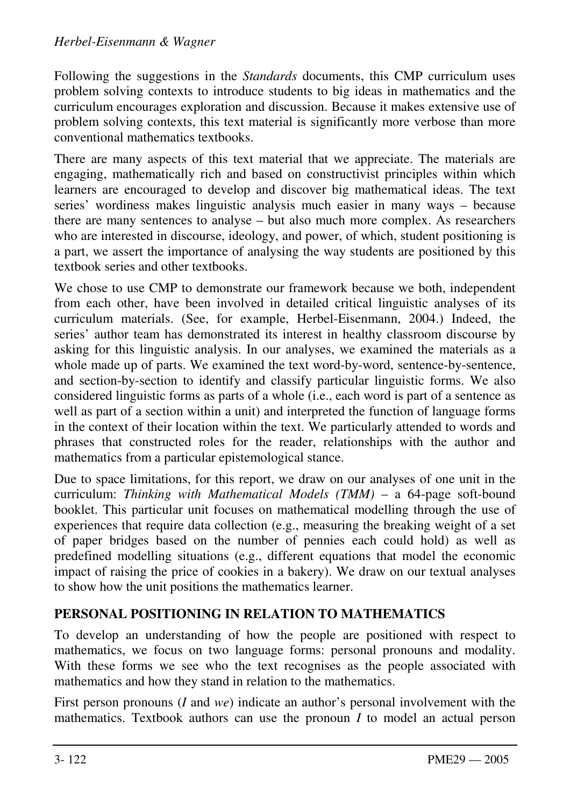### *Herbel-Eisenmann & Wagner*

Following the suggestions in the *Standards* documents, this CMP curriculum uses problem solving contexts to introduce students to big ideas in mathematics and the curriculum encourages exploration and discussion. Because it makes extensive use of problem solving contexts, this text material is significantly more verbose than more conventional mathematics textbooks.

There are many aspects of this text material that we appreciate. The materials are engaging, mathematically rich and based on constructivist principles within which learners are encouraged to develop and discover big mathematical ideas. The text series' wordiness makes linguistic analysis much easier in many ways – because there are many sentences to analyse – but also much more complex. As researchers who are interested in discourse, ideology, and power, of which, student positioning is a part, we assert the importance of analysing the way students are positioned by this textbook series and other textbooks.

We chose to use CMP to demonstrate our framework because we both, independent from each other, have been involved in detailed critical linguistic analyses of its curriculum materials. (See, for example, Herbel-Eisenmann, 2004.) Indeed, the series' author team has demonstrated its interest in healthy classroom discourse by asking for this linguistic analysis. In our analyses, we examined the materials as a whole made up of parts. We examined the text word-by-word, sentence-by-sentence, and section-by-section to identify and classify particular linguistic forms. We also considered linguistic forms as parts of a whole (i.e., each word is part of a sentence as well as part of a section within a unit) and interpreted the function of language forms in the context of their location within the text. We particularly attended to words and phrases that constructed roles for the reader, relationships with the author and mathematics from a particular epistemological stance.

Due to space limitations, for this report, we draw on our analyses of one unit in the curriculum: *Thinking with Mathematical Models (TMM)* – a 64-page soft-bound booklet. This particular unit focuses on mathematical modelling through the use of experiences that require data collection (e.g., measuring the breaking weight of a set of paper bridges based on the number of pennies each could hold) as well as predefined modelling situations (e.g., different equations that model the economic impact of raising the price of cookies in a bakery). We draw on our textual analyses to show how the unit positions the mathematics learner.

### **PERSONAL POSITIONING IN RELATION TO MATHEMATICS**

To develop an understanding of how the people are positioned with respect to mathematics, we focus on two language forms: personal pronouns and modality. With these forms we see who the text recognises as the people associated with mathematics and how they stand in relation to the mathematics.

First person pronouns (*I* and *we*) indicate an author's personal involvement with the mathematics. Textbook authors can use the pronoun *I* to model an actual person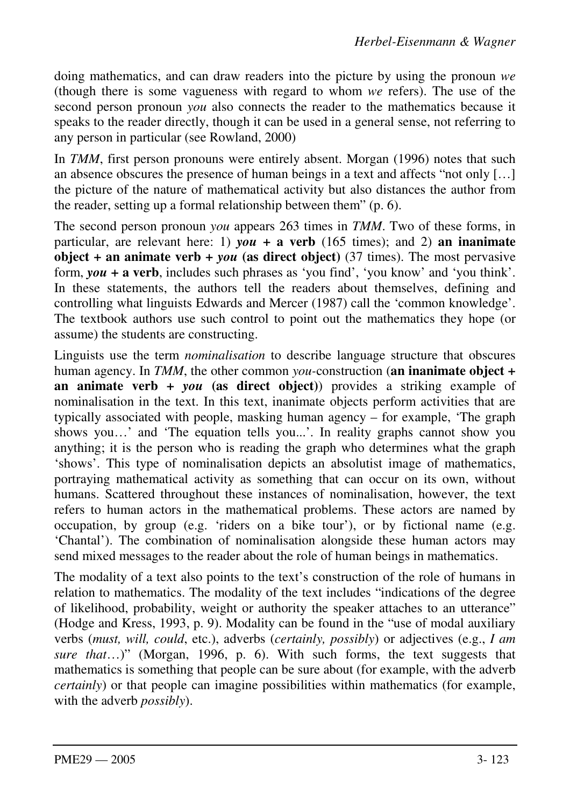doing mathematics, and can draw readers into the picture by using the pronoun *we* (though there is some vagueness with regard to whom *we* refers). The use of the second person pronoun *you* also connects the reader to the mathematics because it speaks to the reader directly, though it can be used in a general sense, not referring to any person in particular (see Rowland, 2000)

In *TMM*, first person pronouns were entirely absent. Morgan (1996) notes that such an absence obscures the presence of human beings in a text and affects "not only […] the picture of the nature of mathematical activity but also distances the author from the reader, setting up a formal relationship between them" (p. 6).

The second person pronoun *you* appears 263 times in *TMM*. Two of these forms, in particular, are relevant here: 1) *you* **+ a verb** (165 times); and 2) **an inanimate object + an animate verb +** *you* (as **direct object**) (37 times). The most pervasive form, *you* **+ a verb**, includes such phrases as 'you find', 'you know' and 'you think'. In these statements, the authors tell the readers about themselves, defining and controlling what linguists Edwards and Mercer (1987) call the 'common knowledge'. The textbook authors use such control to point out the mathematics they hope (or assume) the students are constructing.

Linguists use the term *nominalisation* to describe language structure that obscures human agency. In *TMM*, the other common *you-*construction (**an inanimate object + an animate verb +** *you* **(as direct object)**) provides a striking example of nominalisation in the text. In this text, inanimate objects perform activities that are typically associated with people, masking human agency – for example, 'The graph shows you…' and 'The equation tells you...'. In reality graphs cannot show you anything; it is the person who is reading the graph who determines what the graph 'shows'. This type of nominalisation depicts an absolutist image of mathematics, portraying mathematical activity as something that can occur on its own, without humans. Scattered throughout these instances of nominalisation, however, the text refers to human actors in the mathematical problems. These actors are named by occupation, by group (e.g. 'riders on a bike tour'), or by fictional name (e.g. 'Chantal'). The combination of nominalisation alongside these human actors may send mixed messages to the reader about the role of human beings in mathematics.

The modality of a text also points to the text's construction of the role of humans in relation to mathematics. The modality of the text includes "indications of the degree of likelihood, probability, weight or authority the speaker attaches to an utterance" (Hodge and Kress, 1993, p. 9). Modality can be found in the "use of modal auxiliary verbs (*must, will, could*, etc.), adverbs (*certainly, possibly*) or adjectives (e.g., *I am sure that*…)" (Morgan, 1996, p. 6). With such forms, the text suggests that mathematics is something that people can be sure about (for example, with the adverb *certainly*) or that people can imagine possibilities within mathematics (for example, with the adverb *possibly*).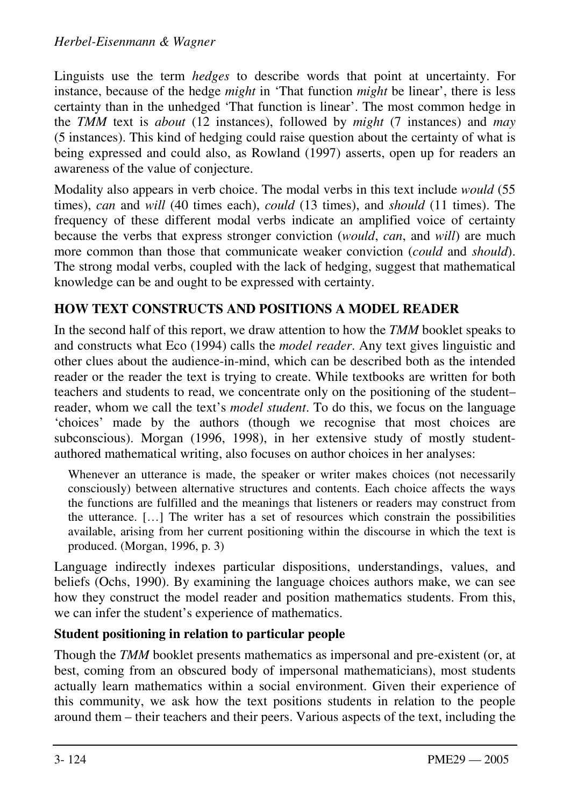Linguists use the term *hedges* to describe words that point at uncertainty. For instance, because of the hedge *might* in 'That function *might* be linear', there is less certainty than in the unhedged 'That function is linear'. The most common hedge in the *TMM* text is *about* (12 instances), followed by *might* (7 instances) and *may* (5 instances). This kind of hedging could raise question about the certainty of what is being expressed and could also, as Rowland (1997) asserts, open up for readers an awareness of the value of conjecture.

Modality also appears in verb choice. The modal verbs in this text include *would* (55 times), *can* and *will* (40 times each), *could* (13 times), and *should* (11 times). The frequency of these different modal verbs indicate an amplified voice of certainty because the verbs that express stronger conviction (*would*, *can*, and *will*) are much more common than those that communicate weaker conviction (*could* and *should*). The strong modal verbs, coupled with the lack of hedging, suggest that mathematical knowledge can be and ought to be expressed with certainty.

## **HOW TEXT CONSTRUCTS AND POSITIONS A MODEL READER**

In the second half of this report, we draw attention to how the *TMM* booklet speaks to and constructs what Eco (1994) calls the *model reader*. Any text gives linguistic and other clues about the audience-in-mind, which can be described both as the intended reader or the reader the text is trying to create. While textbooks are written for both teachers and students to read, we concentrate only on the positioning of the student– reader, whom we call the text's *model student*. To do this, we focus on the language 'choices' made by the authors (though we recognise that most choices are subconscious). Morgan (1996, 1998), in her extensive study of mostly studentauthored mathematical writing, also focuses on author choices in her analyses:

Whenever an utterance is made, the speaker or writer makes choices (not necessarily consciously) between alternative structures and contents. Each choice affects the ways the functions are fulfilled and the meanings that listeners or readers may construct from the utterance. […] The writer has a set of resources which constrain the possibilities available, arising from her current positioning within the discourse in which the text is produced. (Morgan, 1996, p. 3)

Language indirectly indexes particular dispositions, understandings, values, and beliefs (Ochs, 1990). By examining the language choices authors make, we can see how they construct the model reader and position mathematics students. From this, we can infer the student's experience of mathematics.

### **Student positioning in relation to particular people**

Though the *TMM* booklet presents mathematics as impersonal and pre-existent (or, at best, coming from an obscured body of impersonal mathematicians), most students actually learn mathematics within a social environment. Given their experience of this community, we ask how the text positions students in relation to the people around them – their teachers and their peers. Various aspects of the text, including the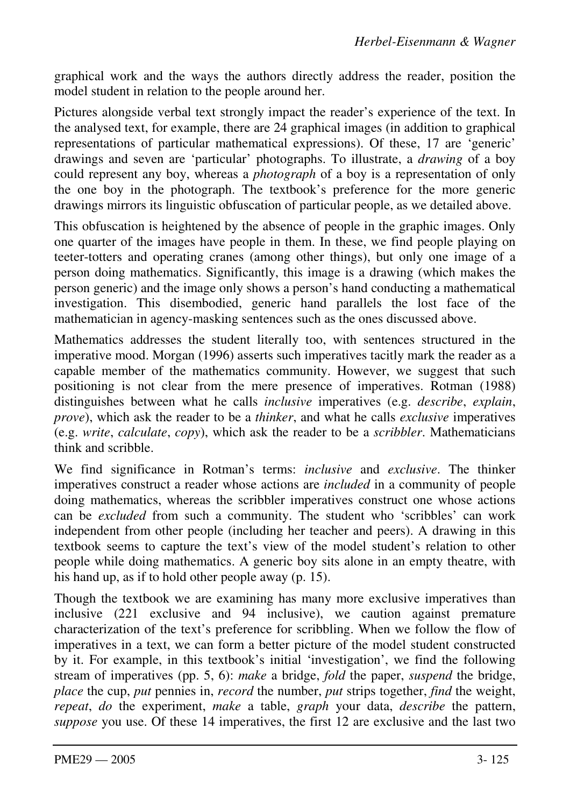graphical work and the ways the authors directly address the reader, position the model student in relation to the people around her.

Pictures alongside verbal text strongly impact the reader's experience of the text. In the analysed text, for example, there are 24 graphical images (in addition to graphical representations of particular mathematical expressions). Of these, 17 are 'generic' drawings and seven are 'particular' photographs. To illustrate, a *drawing* of a boy could represent any boy, whereas a *photograph* of a boy is a representation of only the one boy in the photograph. The textbook's preference for the more generic drawings mirrors its linguistic obfuscation of particular people, as we detailed above.

This obfuscation is heightened by the absence of people in the graphic images. Only one quarter of the images have people in them. In these, we find people playing on teeter-totters and operating cranes (among other things), but only one image of a person doing mathematics. Significantly, this image is a drawing (which makes the person generic) and the image only shows a person's hand conducting a mathematical investigation. This disembodied, generic hand parallels the lost face of the mathematician in agency-masking sentences such as the ones discussed above.

Mathematics addresses the student literally too, with sentences structured in the imperative mood. Morgan (1996) asserts such imperatives tacitly mark the reader as a capable member of the mathematics community. However, we suggest that such positioning is not clear from the mere presence of imperatives. Rotman (1988) distinguishes between what he calls *inclusive* imperatives (e.g. *describe*, *explain*, *prove*), which ask the reader to be a *thinker*, and what he calls *exclusive* imperatives (e.g. *write*, *calculate*, *copy*), which ask the reader to be a *scribbler*. Mathematicians think and scribble.

We find significance in Rotman's terms: *inclusive* and *exclusive*. The thinker imperatives construct a reader whose actions are *included* in a community of people doing mathematics, whereas the scribbler imperatives construct one whose actions can be *excluded* from such a community. The student who 'scribbles' can work independent from other people (including her teacher and peers). A drawing in this textbook seems to capture the text's view of the model student's relation to other people while doing mathematics. A generic boy sits alone in an empty theatre, with his hand up, as if to hold other people away (p. 15).

Though the textbook we are examining has many more exclusive imperatives than inclusive (221 exclusive and 94 inclusive), we caution against premature characterization of the text's preference for scribbling. When we follow the flow of imperatives in a text, we can form a better picture of the model student constructed by it. For example, in this textbook's initial 'investigation', we find the following stream of imperatives (pp. 5, 6): *make* a bridge, *fold* the paper, *suspend* the bridge, *place* the cup, *put* pennies in, *record* the number, *put* strips together, *find* the weight, *repeat*, *do* the experiment, *make* a table, *graph* your data, *describe* the pattern, *suppose* you use. Of these 14 imperatives, the first 12 are exclusive and the last two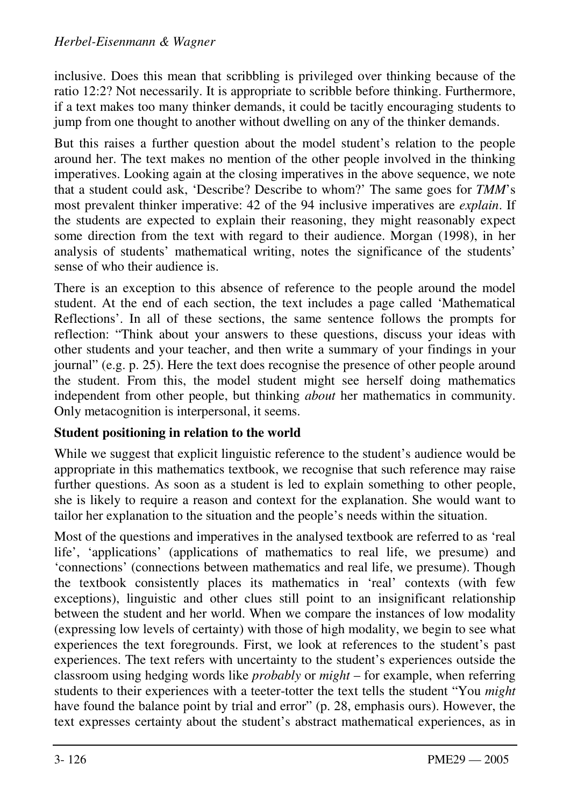### *Herbel-Eisenmann & Wagner*

inclusive. Does this mean that scribbling is privileged over thinking because of the ratio 12:2? Not necessarily. It is appropriate to scribble before thinking. Furthermore, if a text makes too many thinker demands, it could be tacitly encouraging students to jump from one thought to another without dwelling on any of the thinker demands.

But this raises a further question about the model student's relation to the people around her. The text makes no mention of the other people involved in the thinking imperatives. Looking again at the closing imperatives in the above sequence, we note that a student could ask, 'Describe? Describe to whom?' The same goes for *TMM*'s most prevalent thinker imperative: 42 of the 94 inclusive imperatives are *explain*. If the students are expected to explain their reasoning, they might reasonably expect some direction from the text with regard to their audience. Morgan (1998), in her analysis of students' mathematical writing, notes the significance of the students' sense of who their audience is.

There is an exception to this absence of reference to the people around the model student. At the end of each section, the text includes a page called 'Mathematical Reflections'. In all of these sections, the same sentence follows the prompts for reflection: "Think about your answers to these questions, discuss your ideas with other students and your teacher, and then write a summary of your findings in your journal" (e.g. p. 25). Here the text does recognise the presence of other people around the student. From this, the model student might see herself doing mathematics independent from other people, but thinking *about* her mathematics in community. Only metacognition is interpersonal, it seems.

### **Student positioning in relation to the world**

While we suggest that explicit linguistic reference to the student's audience would be appropriate in this mathematics textbook, we recognise that such reference may raise further questions. As soon as a student is led to explain something to other people, she is likely to require a reason and context for the explanation. She would want to tailor her explanation to the situation and the people's needs within the situation.

Most of the questions and imperatives in the analysed textbook are referred to as 'real life', 'applications' (applications of mathematics to real life, we presume) and 'connections' (connections between mathematics and real life, we presume). Though the textbook consistently places its mathematics in 'real' contexts (with few exceptions), linguistic and other clues still point to an insignificant relationship between the student and her world. When we compare the instances of low modality (expressing low levels of certainty) with those of high modality, we begin to see what experiences the text foregrounds. First, we look at references to the student's past experiences. The text refers with uncertainty to the student's experiences outside the classroom using hedging words like *probably* or *might* – for example, when referring students to their experiences with a teeter-totter the text tells the student "You *might* have found the balance point by trial and error" (p. 28, emphasis ours). However, the text expresses certainty about the student's abstract mathematical experiences, as in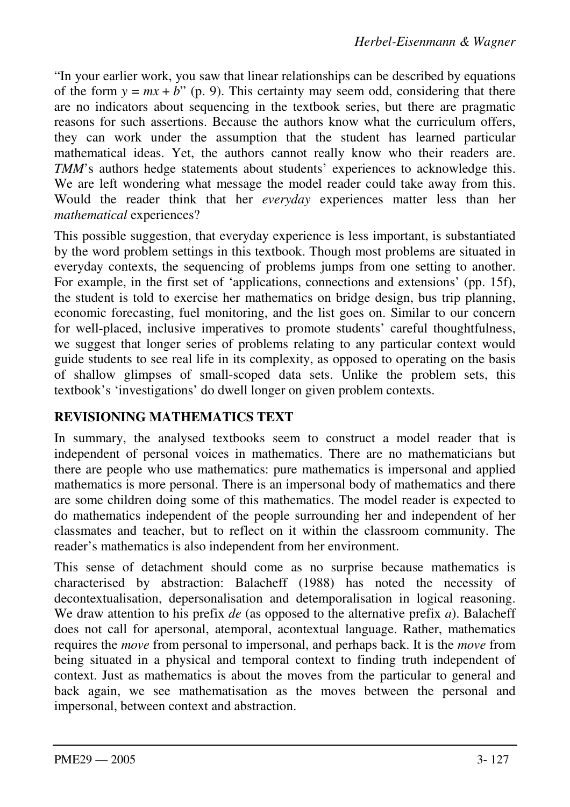"In your earlier work, you saw that linear relationships can be described by equations of the form  $y = mx + b$ " (p. 9). This certainty may seem odd, considering that there are no indicators about sequencing in the textbook series, but there are pragmatic reasons for such assertions. Because the authors know what the curriculum offers, they can work under the assumption that the student has learned particular mathematical ideas. Yet, the authors cannot really know who their readers are. *TMM*'s authors hedge statements about students' experiences to acknowledge this. We are left wondering what message the model reader could take away from this. Would the reader think that her *everyday* experiences matter less than her *mathematical* experiences?

This possible suggestion, that everyday experience is less important, is substantiated by the word problem settings in this textbook. Though most problems are situated in everyday contexts, the sequencing of problems jumps from one setting to another. For example, in the first set of 'applications, connections and extensions' (pp. 15f), the student is told to exercise her mathematics on bridge design, bus trip planning, economic forecasting, fuel monitoring, and the list goes on. Similar to our concern for well-placed, inclusive imperatives to promote students' careful thoughtfulness, we suggest that longer series of problems relating to any particular context would guide students to see real life in its complexity, as opposed to operating on the basis of shallow glimpses of small-scoped data sets. Unlike the problem sets, this textbook's 'investigations' do dwell longer on given problem contexts.

## **REVISIONING MATHEMATICS TEXT**

In summary, the analysed textbooks seem to construct a model reader that is independent of personal voices in mathematics. There are no mathematicians but there are people who use mathematics: pure mathematics is impersonal and applied mathematics is more personal. There is an impersonal body of mathematics and there are some children doing some of this mathematics. The model reader is expected to do mathematics independent of the people surrounding her and independent of her classmates and teacher, but to reflect on it within the classroom community. The reader's mathematics is also independent from her environment.

This sense of detachment should come as no surprise because mathematics is characterised by abstraction: Balacheff (1988) has noted the necessity of decontextualisation, depersonalisation and detemporalisation in logical reasoning. We draw attention to his prefix *de* (as opposed to the alternative prefix *a*). Balacheff does not call for apersonal, atemporal, acontextual language. Rather, mathematics requires the *move* from personal to impersonal, and perhaps back. It is the *move* from being situated in a physical and temporal context to finding truth independent of context. Just as mathematics is about the moves from the particular to general and back again, we see mathematisation as the moves between the personal and impersonal, between context and abstraction.